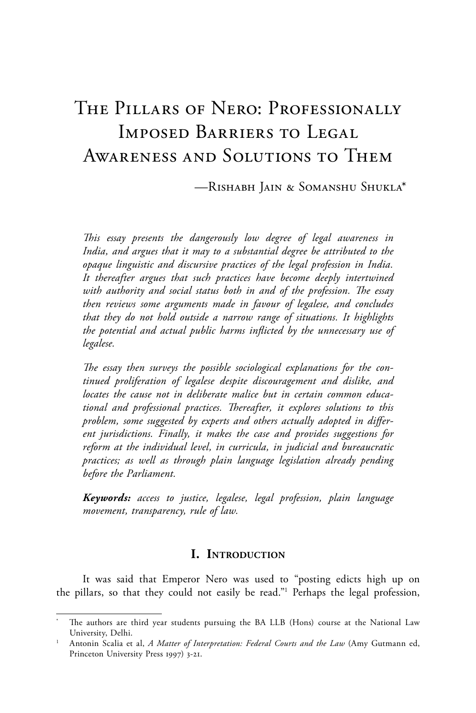# The Pillars of Nero: Professionally Imposed Barriers to Legal Awareness and Solutions to Them

—Rishabh Jain & Somanshu Shukla\*

*This essay presents the dangerously low degree of legal awareness in India, and argues that it may to a substantial degree be attributed to the opaque linguistic and discursive practices of the legal profession in India. It thereafter argues that such practices have become deeply intertwined with authority and social status both in and of the profession. The essay then reviews some arguments made in favour of legalese, and concludes that they do not hold outside a narrow range of situations. It highlights the potential and actual public harms inflicted by the unnecessary use of legalese.*

*The essay then surveys the possible sociological explanations for the continued proliferation of legalese despite discouragement and dislike, and locates the cause not in deliberate malice but in certain common educational and professional practices. Thereafter, it explores solutions to this problem, some suggested by experts and others actually adopted in different jurisdictions. Finally, it makes the case and provides suggestions for reform at the individual level, in curricula, in judicial and bureaucratic practices; as well as through plain language legislation already pending before the Parliament.*

*Keywords: access to justice, legalese, legal profession, plain language movement, transparency, rule of law.*

## **I. Introduction**

It was said that Emperor Nero was used to "posting edicts high up on the pillars, so that they could not easily be read."1 Perhaps the legal profession,

The authors are third year students pursuing the BA LLB (Hons) course at the National Law University, Delhi.

<sup>1</sup> Antonin Scalia et al, *A Matter of Interpretation: Federal Courts and the Law* (Amy Gutmann ed, Princeton University Press 1997) 3-21.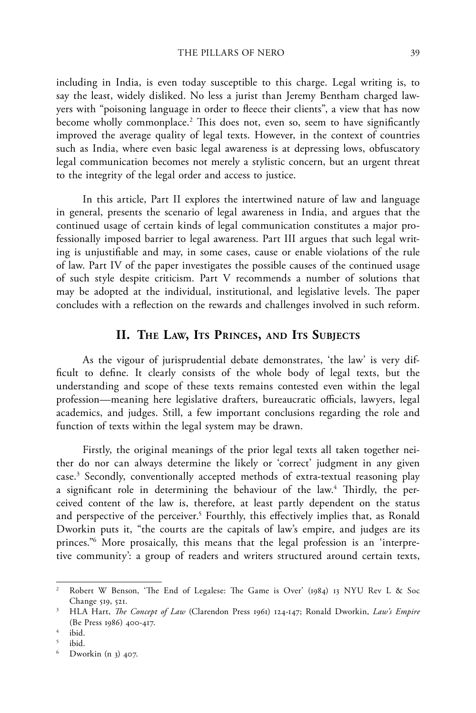including in India, is even today susceptible to this charge. Legal writing is, to say the least, widely disliked. No less a jurist than Jeremy Bentham charged lawyers with "poisoning language in order to fleece their clients", a view that has now become wholly commonplace.2 This does not, even so, seem to have significantly improved the average quality of legal texts. However, in the context of countries such as India, where even basic legal awareness is at depressing lows, obfuscatory legal communication becomes not merely a stylistic concern, but an urgent threat to the integrity of the legal order and access to justice.

In this article, Part II explores the intertwined nature of law and language in general, presents the scenario of legal awareness in India, and argues that the continued usage of certain kinds of legal communication constitutes a major professionally imposed barrier to legal awareness. Part III argues that such legal writing is unjustifiable and may, in some cases, cause or enable violations of the rule of law. Part IV of the paper investigates the possible causes of the continued usage of such style despite criticism. Part V recommends a number of solutions that may be adopted at the individual, institutional, and legislative levels. The paper concludes with a reflection on the rewards and challenges involved in such reform.

#### **II. The Law, Its Princes, and Its Subjects**

As the vigour of jurisprudential debate demonstrates, 'the law' is very difficult to define. It clearly consists of the whole body of legal texts, but the understanding and scope of these texts remains contested even within the legal profession—meaning here legislative drafters, bureaucratic officials, lawyers, legal academics, and judges. Still, a few important conclusions regarding the role and function of texts within the legal system may be drawn.

Firstly, the original meanings of the prior legal texts all taken together neither do nor can always determine the likely or 'correct' judgment in any given case.3 Secondly, conventionally accepted methods of extra-textual reasoning play a significant role in determining the behaviour of the law.<sup>4</sup> Thirdly, the perceived content of the law is, therefore, at least partly dependent on the status and perspective of the perceiver.<sup>5</sup> Fourthly, this effectively implies that, as Ronald Dworkin puts it, "the courts are the capitals of law's empire, and judges are its princes."6 More prosaically, this means that the legal profession is an 'interpretive community': a group of readers and writers structured around certain texts,

<sup>2</sup> Robert W Benson, 'The End of Legalese: The Game is Over' (1984) 13 NYU Rev L & Soc Change 519, 521.

<sup>3</sup> HLA Hart, *The Concept of Law* (Clarendon Press 1961) 124-147; Ronald Dworkin, *Law's Empire*  (Be Press 1986) 400-417.

 $4$  ibid.

 $\frac{5}{6}$  ibid.

Dworkin (n 3) 407.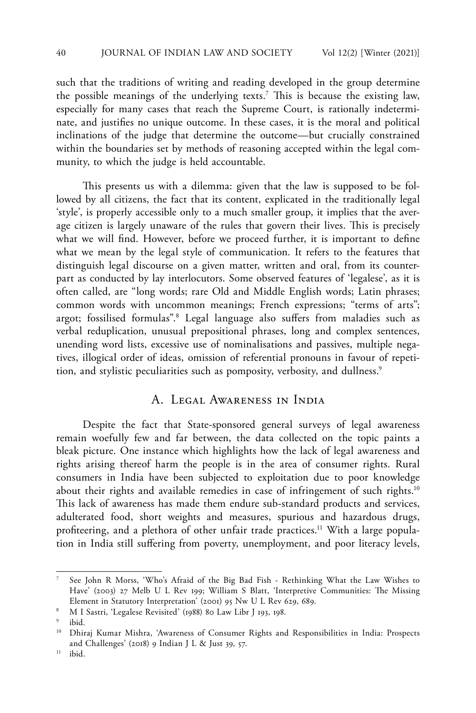such that the traditions of writing and reading developed in the group determine the possible meanings of the underlying texts.7 This is because the existing law, especially for many cases that reach the Supreme Court, is rationally indeterminate, and justifies no unique outcome. In these cases, it is the moral and political inclinations of the judge that determine the outcome—but crucially constrained within the boundaries set by methods of reasoning accepted within the legal community, to which the judge is held accountable.

This presents us with a dilemma: given that the law is supposed to be followed by all citizens, the fact that its content, explicated in the traditionally legal 'style', is properly accessible only to a much smaller group, it implies that the average citizen is largely unaware of the rules that govern their lives. This is precisely what we will find. However, before we proceed further, it is important to define what we mean by the legal style of communication. It refers to the features that distinguish legal discourse on a given matter, written and oral, from its counterpart as conducted by lay interlocutors. Some observed features of 'legalese', as it is often called, are "long words; rare Old and Middle English words; Latin phrases; common words with uncommon meanings; French expressions; "terms of arts"; argot; fossilised formulas".<sup>8</sup> Legal language also suffers from maladies such as verbal reduplication, unusual prepositional phrases, long and complex sentences, unending word lists, excessive use of nominalisations and passives, multiple negatives, illogical order of ideas, omission of referential pronouns in favour of repetition, and stylistic peculiarities such as pomposity, verbosity, and dullness.<sup>9</sup>

## A. Legal Awareness in India

Despite the fact that State-sponsored general surveys of legal awareness remain woefully few and far between, the data collected on the topic paints a bleak picture. One instance which highlights how the lack of legal awareness and rights arising thereof harm the people is in the area of consumer rights. Rural consumers in India have been subjected to exploitation due to poor knowledge about their rights and available remedies in case of infringement of such rights.<sup>10</sup> This lack of awareness has made them endure sub-standard products and services, adulterated food, short weights and measures, spurious and hazardous drugs, profiteering, and a plethora of other unfair trade practices.<sup>11</sup> With a large population in India still suffering from poverty, unemployment, and poor literacy levels,

<sup>7</sup> See John R Morss, 'Who's Afraid of the Big Bad Fish - Rethinking What the Law Wishes to Have' (2003) 27 Melb U L Rev 199; William S Blatt, 'Interpretive Communities: The Missing Element in Statutory Interpretation' (2001) 95 Nw U L Rev 629, 689.

<sup>8</sup> M I Sastri, 'Legalese Revisited' (1988) 80 Law Libr J 193, 198.

ibid.

<sup>&</sup>lt;sup>10</sup> Dhiraj Kumar Mishra, 'Awareness of Consumer Rights and Responsibilities in India: Prospects and Challenges' (2018) 9 Indian J L & Just 39, 57.

 $11$  ibid.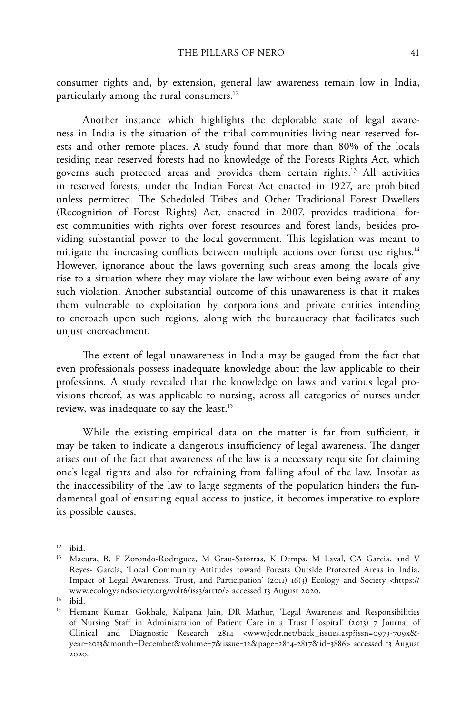consumer rights and, by extension, general law awareness remain low in India, particularly among the rural consumers.<sup>12</sup>

Another instance which highlights the deplorable state of legal awareness in India is the situation of the tribal communities living near reserved forests and other remote places. A study found that more than 80% of the locals residing near reserved forests had no knowledge of the Forests Rights Act, which governs such protected areas and provides them certain rights.13 All activities in reserved forests, under the Indian Forest Act enacted in 1927, are prohibited unless permitted. The Scheduled Tribes and Other Traditional Forest Dwellers (Recognition of Forest Rights) Act, enacted in 2007, provides traditional forest communities with rights over forest resources and forest lands, besides providing substantial power to the local government. This legislation was meant to mitigate the increasing conflicts between multiple actions over forest use rights.<sup>14</sup> However, ignorance about the laws governing such areas among the locals give rise to a situation where they may violate the law without even being aware of any such violation. Another substantial outcome of this unawareness is that it makes them vulnerable to exploitation by corporations and private entities intending to encroach upon such regions, along with the bureaucracy that facilitates such unjust encroachment.

The extent of legal unawareness in India may be gauged from the fact that even professionals possess inadequate knowledge about the law applicable to their professions. A study revealed that the knowledge on laws and various legal provisions thereof, as was applicable to nursing, across all categories of nurses under review, was inadequate to say the least.<sup>15</sup>

While the existing empirical data on the matter is far from sufficient, it may be taken to indicate a dangerous insufficiency of legal awareness. The danger arises out of the fact that awareness of the law is a necessary requisite for claiming one's legal rights and also for refraining from falling afoul of the law. Insofar as the inaccessibility of the law to large segments of the population hinders the fundamental goal of ensuring equal access to justice, it becomes imperative to explore its possible causes.

<sup>12</sup> ibid.

<sup>&</sup>lt;sup>13</sup> Macura, B, F Zorondo-Rodríguez, M Grau-Satorras, K Demps, M Laval, CA Garcia, and V Reyes- García, 'Local Community Attitudes toward Forests Outside Protected Areas in India. Impact of Legal Awareness, Trust, and Participation' (2011) 16(3) Ecology and Society <https:// www.ecologyandsociety.org/vol16/iss3/art10/> accessed 13 August 2020.

 $14$  ibid.

<sup>&</sup>lt;sup>15</sup> Hemant Kumar, Gokhale, Kalpana Jain, DR Mathur, 'Legal Awareness and Responsibilities of Nursing Staff in Administration of Patient Care in a Trust Hospital' (2013) 7 Journal of Clinical and Diagnostic Research 2814 <www.jcdr.net/back\_issues.asp?issn=0973-709x& year=2013&month=December&volume=7&issue=12&page=2814-2817&id=3886> accessed 13 August 2020.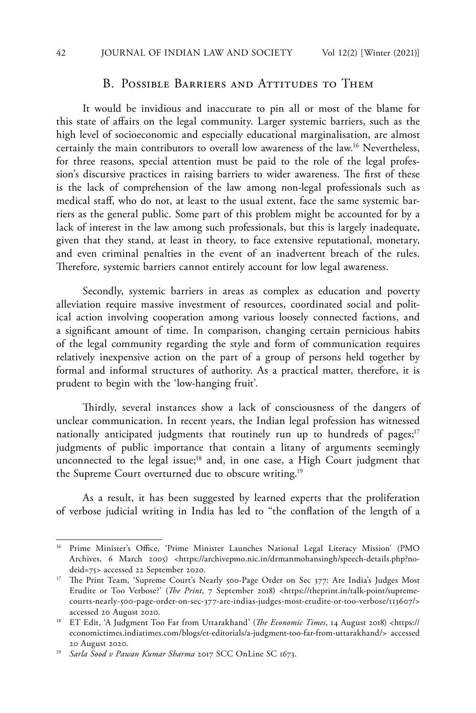## B. POSSIBLE BARRIERS AND ATTITUDES TO THEM

It would be invidious and inaccurate to pin all or most of the blame for this state of affairs on the legal community. Larger systemic barriers, such as the high level of socioeconomic and especially educational marginalisation, are almost certainly the main contributors to overall low awareness of the law.16 Nevertheless, for three reasons, special attention must be paid to the role of the legal profession's discursive practices in raising barriers to wider awareness. The first of these is the lack of comprehension of the law among non-legal professionals such as medical staff, who do not, at least to the usual extent, face the same systemic barriers as the general public. Some part of this problem might be accounted for by a lack of interest in the law among such professionals, but this is largely inadequate, given that they stand, at least in theory, to face extensive reputational, monetary, and even criminal penalties in the event of an inadvertent breach of the rules. Therefore, systemic barriers cannot entirely account for low legal awareness.

Secondly, systemic barriers in areas as complex as education and poverty alleviation require massive investment of resources, coordinated social and political action involving cooperation among various loosely connected factions, and a significant amount of time. In comparison, changing certain pernicious habits of the legal community regarding the style and form of communication requires relatively inexpensive action on the part of a group of persons held together by formal and informal structures of authority. As a practical matter, therefore, it is prudent to begin with the 'low-hanging fruit'.

Thirdly, several instances show a lack of consciousness of the dangers of unclear communication. In recent years, the Indian legal profession has witnessed nationally anticipated judgments that routinely run up to hundreds of pages;<sup>17</sup> judgments of public importance that contain a litany of arguments seemingly unconnected to the legal issue;<sup>18</sup> and, in one case, a High Court judgment that the Supreme Court overturned due to obscure writing.<sup>19</sup>

As a result, it has been suggested by learned experts that the proliferation of verbose judicial writing in India has led to "the conflation of the length of a

<sup>&</sup>lt;sup>16</sup> Prime Minister's Office, 'Prime Minister Launches National Legal Literacy Mission' (PMO Archives, 6 March 2005) <https://archivepmo.nic.in/drmanmohansingh/speech-details.php?nodeid=75> accessed 22 September 2020.

<sup>&</sup>lt;sup>17</sup> The Print Team, 'Supreme Court's Nearly 500-Page Order on Sec 377: Are India's Judges Most Erudite or Too Verbose?' (*The Print*, 7 September 2018) <https://theprint.in/talk-point/supremecourts-nearly-500-page-order-on-sec-377-are-indias-judges-most-erudite-or-too-verbose/113607/> accessed 20 August 2020.

<sup>18</sup> ET Edit, 'A Judgment Too Far from Uttarakhand' (*The Economic Times*, 14 August 2018) <https:// economictimes.indiatimes.com/blogs/et-editorials/a-judgment-too-far-from-uttarakhand/> accessed 20 August 2020.

<sup>19</sup> *Sarla Sood v Pawan Kumar Sharma* 2017 SCC OnLine SC 1673.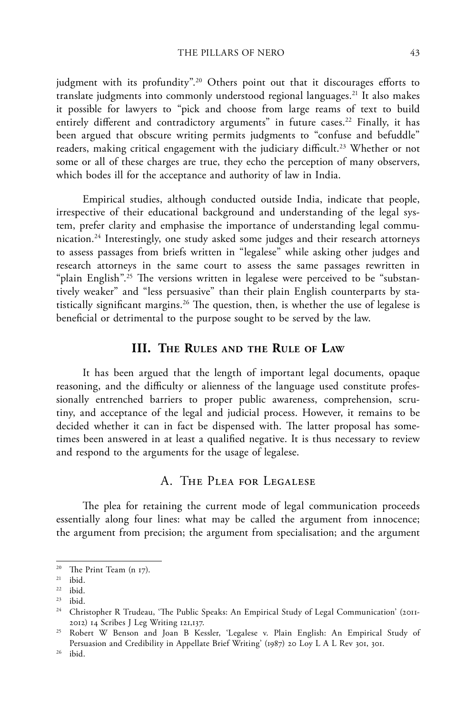judgment with its profundity".<sup>20</sup> Others point out that it discourages efforts to translate judgments into commonly understood regional languages.<sup>21</sup> It also makes it possible for lawyers to "pick and choose from large reams of text to build entirely different and contradictory arguments" in future cases.<sup>22</sup> Finally, it has been argued that obscure writing permits judgments to "confuse and befuddle" readers, making critical engagement with the judiciary difficult.<sup>23</sup> Whether or not some or all of these charges are true, they echo the perception of many observers, which bodes ill for the acceptance and authority of law in India.

Empirical studies, although conducted outside India, indicate that people, irrespective of their educational background and understanding of the legal system, prefer clarity and emphasise the importance of understanding legal communication.24 Interestingly, one study asked some judges and their research attorneys to assess passages from briefs written in "legalese" while asking other judges and research attorneys in the same court to assess the same passages rewritten in "plain English".<sup>25</sup> The versions written in legalese were perceived to be "substantively weaker" and "less persuasive" than their plain English counterparts by statistically significant margins.<sup>26</sup> The question, then, is whether the use of legalese is beneficial or detrimental to the purpose sought to be served by the law.

#### **III. The Rules and the Rule of Law**

It has been argued that the length of important legal documents, opaque reasoning, and the difficulty or alienness of the language used constitute professionally entrenched barriers to proper public awareness, comprehension, scrutiny, and acceptance of the legal and judicial process. However, it remains to be decided whether it can in fact be dispensed with. The latter proposal has sometimes been answered in at least a qualified negative. It is thus necessary to review and respond to the arguments for the usage of legalese.

## A. The Plea for Legalese

The plea for retaining the current mode of legal communication proceeds essentially along four lines: what may be called the argument from innocence; the argument from precision; the argument from specialisation; and the argument

<sup>20</sup> The Print Team (n 17).

 $21$  ibid.

<sup>22</sup> ibid.

<sup>23</sup> ibid.

<sup>&</sup>lt;sup>24</sup> Christopher R Trudeau, 'The Public Speaks: An Empirical Study of Legal Communication' (2011-2012) 14 Scribes J Leg Writing 121,137.

<sup>25</sup> Robert W Benson and Joan B Kessler, 'Legalese v. Plain English: An Empirical Study of Persuasion and Credibility in Appellate Brief Writing' (1987) 20 Loy L A L Rev 301, 301.

<sup>26</sup> ibid.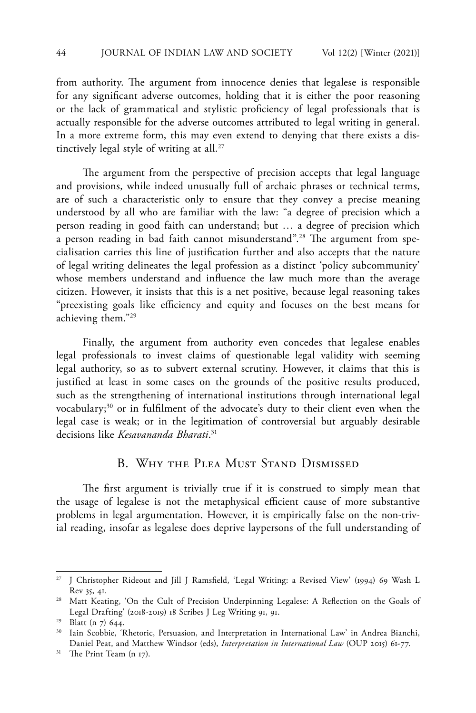from authority. The argument from innocence denies that legalese is responsible for any significant adverse outcomes, holding that it is either the poor reasoning or the lack of grammatical and stylistic proficiency of legal professionals that is actually responsible for the adverse outcomes attributed to legal writing in general. In a more extreme form, this may even extend to denying that there exists a distinctively legal style of writing at all.<sup>27</sup>

The argument from the perspective of precision accepts that legal language and provisions, while indeed unusually full of archaic phrases or technical terms, are of such a characteristic only to ensure that they convey a precise meaning understood by all who are familiar with the law: "a degree of precision which a person reading in good faith can understand; but … a degree of precision which a person reading in bad faith cannot misunderstand".<sup>28</sup> The argument from specialisation carries this line of justification further and also accepts that the nature of legal writing delineates the legal profession as a distinct 'policy subcommunity' whose members understand and influence the law much more than the average citizen. However, it insists that this is a net positive, because legal reasoning takes "preexisting goals like efficiency and equity and focuses on the best means for achieving them."29

Finally, the argument from authority even concedes that legalese enables legal professionals to invest claims of questionable legal validity with seeming legal authority, so as to subvert external scrutiny. However, it claims that this is justified at least in some cases on the grounds of the positive results produced, such as the strengthening of international institutions through international legal vocabulary;<sup>30</sup> or in fulfilment of the advocate's duty to their client even when the legal case is weak; or in the legitimation of controversial but arguably desirable decisions like *Kesavananda Bharati*. 31

## B. Why the Plea Must Stand Dismissed

The first argument is trivially true if it is construed to simply mean that the usage of legalese is not the metaphysical efficient cause of more substantive problems in legal argumentation. However, it is empirically false on the non-trivial reading, insofar as legalese does deprive laypersons of the full understanding of

<sup>27</sup> J Christopher Rideout and Jill J Ramsfield, 'Legal Writing: a Revised View' (1994) 69 Wash L Rev 35, 41.

<sup>&</sup>lt;sup>28</sup> Matt Keating, 'On the Cult of Precision Underpinning Legalese: A Reflection on the Goals of Legal Drafting' (2018-2019) 18 Scribes J Leg Writing 91, 91.

<sup>29</sup> Blatt (n 7) 644.

<sup>&</sup>lt;sup>30</sup> Iain Scobbie, 'Rhetoric, Persuasion, and Interpretation in International Law' in Andrea Bianchi, Daniel Peat, and Matthew Windsor (eds), *Interpretation in International Law* (OUP 2015) 61-77.

<sup>&</sup>lt;sup>31</sup> The Print Team (n 17).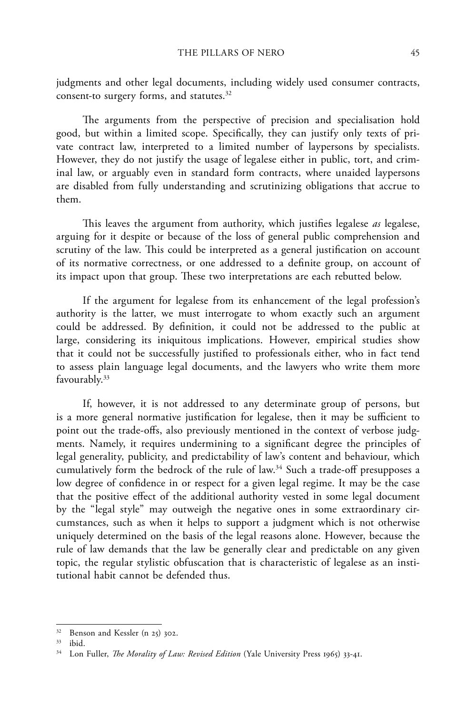judgments and other legal documents, including widely used consumer contracts, consent-to surgery forms, and statutes.<sup>32</sup>

The arguments from the perspective of precision and specialisation hold good, but within a limited scope. Specifically, they can justify only texts of private contract law, interpreted to a limited number of laypersons by specialists. However, they do not justify the usage of legalese either in public, tort, and criminal law, or arguably even in standard form contracts, where unaided laypersons are disabled from fully understanding and scrutinizing obligations that accrue to them.

This leaves the argument from authority, which justifies legalese *as* legalese, arguing for it despite or because of the loss of general public comprehension and scrutiny of the law. This could be interpreted as a general justification on account of its normative correctness, or one addressed to a definite group, on account of its impact upon that group. These two interpretations are each rebutted below.

If the argument for legalese from its enhancement of the legal profession's authority is the latter, we must interrogate to whom exactly such an argument could be addressed. By definition, it could not be addressed to the public at large, considering its iniquitous implications. However, empirical studies show that it could not be successfully justified to professionals either, who in fact tend to assess plain language legal documents, and the lawyers who write them more favourably.<sup>33</sup>

If, however, it is not addressed to any determinate group of persons, but is a more general normative justification for legalese, then it may be sufficient to point out the trade-offs, also previously mentioned in the context of verbose judgments. Namely, it requires undermining to a significant degree the principles of legal generality, publicity, and predictability of law's content and behaviour, which cumulatively form the bedrock of the rule of law.34 Such a trade-off presupposes a low degree of confidence in or respect for a given legal regime. It may be the case that the positive effect of the additional authority vested in some legal document by the "legal style" may outweigh the negative ones in some extraordinary circumstances, such as when it helps to support a judgment which is not otherwise uniquely determined on the basis of the legal reasons alone. However, because the rule of law demands that the law be generally clear and predictable on any given topic, the regular stylistic obfuscation that is characteristic of legalese as an institutional habit cannot be defended thus.

<sup>32</sup> Benson and Kessler (n 25) 302.

<sup>33</sup> ibid.

<sup>&</sup>lt;sup>34</sup> Lon Fuller, *The Morality of Law: Revised Edition* (Yale University Press 1965) 33-41.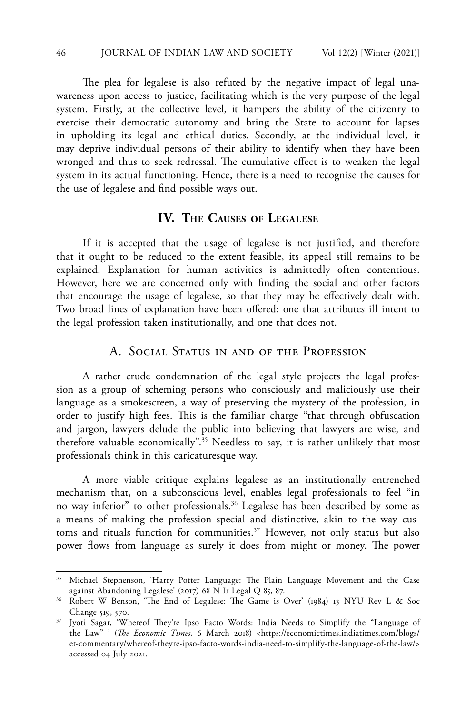The plea for legalese is also refuted by the negative impact of legal unawareness upon access to justice, facilitating which is the very purpose of the legal system. Firstly, at the collective level, it hampers the ability of the citizenry to exercise their democratic autonomy and bring the State to account for lapses in upholding its legal and ethical duties. Secondly, at the individual level, it may deprive individual persons of their ability to identify when they have been wronged and thus to seek redressal. The cumulative effect is to weaken the legal system in its actual functioning. Hence, there is a need to recognise the causes for the use of legalese and find possible ways out.

## **IV. The Causes of Legalese**

If it is accepted that the usage of legalese is not justified, and therefore that it ought to be reduced to the extent feasible, its appeal still remains to be explained. Explanation for human activities is admittedly often contentious. However, here we are concerned only with finding the social and other factors that encourage the usage of legalese, so that they may be effectively dealt with. Two broad lines of explanation have been offered: one that attributes ill intent to the legal profession taken institutionally, and one that does not.

## A. SOCIAL STATUS IN AND OF THE PROFESSION

A rather crude condemnation of the legal style projects the legal profession as a group of scheming persons who consciously and maliciously use their language as a smokescreen, a way of preserving the mystery of the profession, in order to justify high fees. This is the familiar charge "that through obfuscation and jargon, lawyers delude the public into believing that lawyers are wise, and therefore valuable economically".35 Needless to say, it is rather unlikely that most professionals think in this caricaturesque way.

A more viable critique explains legalese as an institutionally entrenched mechanism that, on a subconscious level, enables legal professionals to feel "in no way inferior" to other professionals.36 Legalese has been described by some as a means of making the profession special and distinctive, akin to the way customs and rituals function for communities.<sup>37</sup> However, not only status but also power flows from language as surely it does from might or money. The power

<sup>&</sup>lt;sup>35</sup> Michael Stephenson, 'Harry Potter Language: The Plain Language Movement and the Case against Abandoning Legalese' (2017) 68 N Ir Legal Q 85, 87.

<sup>36</sup> Robert W Benson, 'The End of Legalese: The Game is Over' (1984) 13 NYU Rev L & Soc Change 519, 570.

<sup>37</sup> Jyoti Sagar, 'Whereof They're Ipso Facto Words: India Needs to Simplify the "Language of the Law" ' (*The Economic Times*, 6 March 2018) <https://economictimes.indiatimes.com/blogs/ et-commentary/whereof-theyre-ipso-facto-words-india-need-to-simplify-the-language-of-the-law/> accessed 04 July 2021.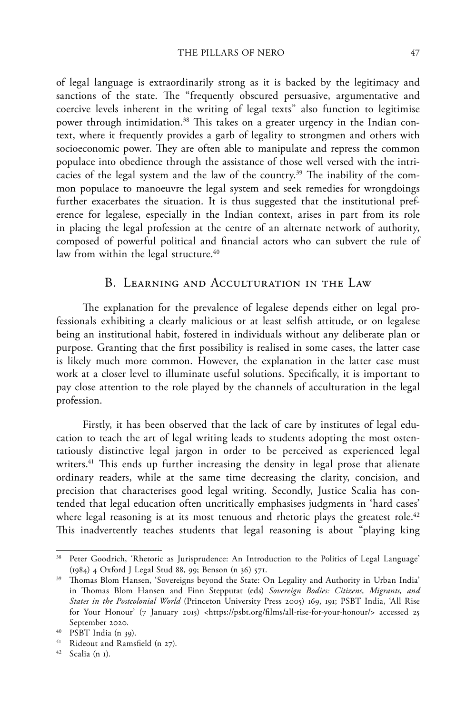of legal language is extraordinarily strong as it is backed by the legitimacy and sanctions of the state. The "frequently obscured persuasive, argumentative and coercive levels inherent in the writing of legal texts" also function to legitimise power through intimidation.<sup>38</sup> This takes on a greater urgency in the Indian context, where it frequently provides a garb of legality to strongmen and others with socioeconomic power. They are often able to manipulate and repress the common populace into obedience through the assistance of those well versed with the intricacies of the legal system and the law of the country.<sup>39</sup> The inability of the common populace to manoeuvre the legal system and seek remedies for wrongdoings further exacerbates the situation. It is thus suggested that the institutional preference for legalese, especially in the Indian context, arises in part from its role in placing the legal profession at the centre of an alternate network of authority, composed of powerful political and financial actors who can subvert the rule of law from within the legal structure.<sup>40</sup>

## B. Learning and Acculturation in the Law

The explanation for the prevalence of legalese depends either on legal professionals exhibiting a clearly malicious or at least selfish attitude, or on legalese being an institutional habit, fostered in individuals without any deliberate plan or purpose. Granting that the first possibility is realised in some cases, the latter case is likely much more common. However, the explanation in the latter case must work at a closer level to illuminate useful solutions. Specifically, it is important to pay close attention to the role played by the channels of acculturation in the legal profession.

Firstly, it has been observed that the lack of care by institutes of legal education to teach the art of legal writing leads to students adopting the most ostentatiously distinctive legal jargon in order to be perceived as experienced legal writers.<sup>41</sup> This ends up further increasing the density in legal prose that alienate ordinary readers, while at the same time decreasing the clarity, concision, and precision that characterises good legal writing. Secondly, Justice Scalia has contended that legal education often uncritically emphasises judgments in 'hard cases' where legal reasoning is at its most tenuous and rhetoric plays the greatest role.<sup>42</sup> This inadvertently teaches students that legal reasoning is about "playing king

<sup>&</sup>lt;sup>38</sup> Peter Goodrich, 'Rhetoric as Jurisprudence: An Introduction to the Politics of Legal Language' (1984) 4 Oxford J Legal Stud 88, 99; Benson (n 36) 571.

<sup>&</sup>lt;sup>39</sup> Thomas Blom Hansen, 'Sovereigns beyond the State: On Legality and Authority in Urban India' in Thomas Blom Hansen and Finn Stepputat (eds) *Sovereign Bodies: Citizens, Migrants, and States in the Postcolonial World* (Princeton University Press 2005) 169, 191; PSBT India, 'All Rise for Your Honour' (7 January 2015) <https://psbt.org/films/all-rise-for-your-honour/> accessed 25 September 2020.

<sup>40</sup> PSBT India (n 39).

<sup>41</sup> Rideout and Ramsfield (n 27).

<sup>42</sup> Scalia (n 1).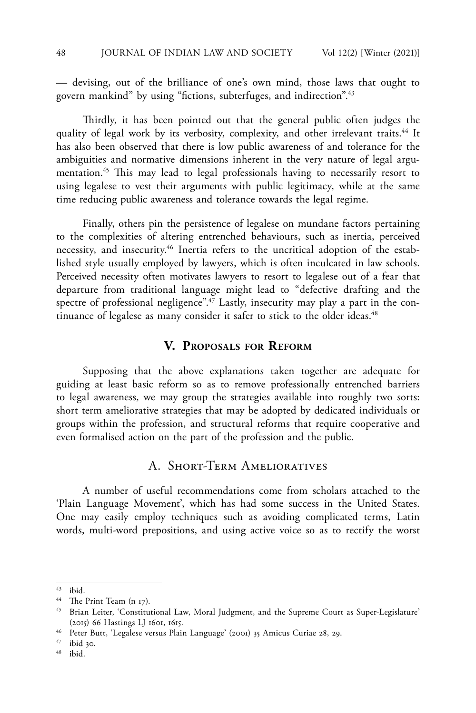— devising, out of the brilliance of one's own mind, those laws that ought to govern mankind" by using "fictions, subterfuges, and indirection".43

Thirdly, it has been pointed out that the general public often judges the quality of legal work by its verbosity, complexity, and other irrelevant traits.<sup>44</sup> It has also been observed that there is low public awareness of and tolerance for the ambiguities and normative dimensions inherent in the very nature of legal argumentation.45 This may lead to legal professionals having to necessarily resort to using legalese to vest their arguments with public legitimacy, while at the same time reducing public awareness and tolerance towards the legal regime.

Finally, others pin the persistence of legalese on mundane factors pertaining to the complexities of altering entrenched behaviours, such as inertia, perceived necessity, and insecurity.46 Inertia refers to the uncritical adoption of the established style usually employed by lawyers, which is often inculcated in law schools. Perceived necessity often motivates lawyers to resort to legalese out of a fear that departure from traditional language might lead to "defective drafting and the spectre of professional negligence".<sup>47</sup> Lastly, insecurity may play a part in the continuance of legalese as many consider it safer to stick to the older ideas.<sup>48</sup>

## **V. Proposals for Reform**

Supposing that the above explanations taken together are adequate for guiding at least basic reform so as to remove professionally entrenched barriers to legal awareness, we may group the strategies available into roughly two sorts: short term ameliorative strategies that may be adopted by dedicated individuals or groups within the profession, and structural reforms that require cooperative and even formalised action on the part of the profession and the public.

## A. Short-Term Amelioratives

A number of useful recommendations come from scholars attached to the 'Plain Language Movement', which has had some success in the United States. One may easily employ techniques such as avoiding complicated terms, Latin words, multi-word prepositions, and using active voice so as to rectify the worst

ibid.

<sup>43</sup> ibid.

<sup>44</sup> The Print Team (n 17).

<sup>45</sup> Brian Leiter, 'Constitutional Law, Moral Judgment, and the Supreme Court as Super-Legislature' (2015) 66 Hastings LJ 1601, 1615.

<sup>46</sup> Peter Butt, 'Legalese versus Plain Language' (2001) 35 Amicus Curiae 28, 29.

 $^{47}$  ibid 30.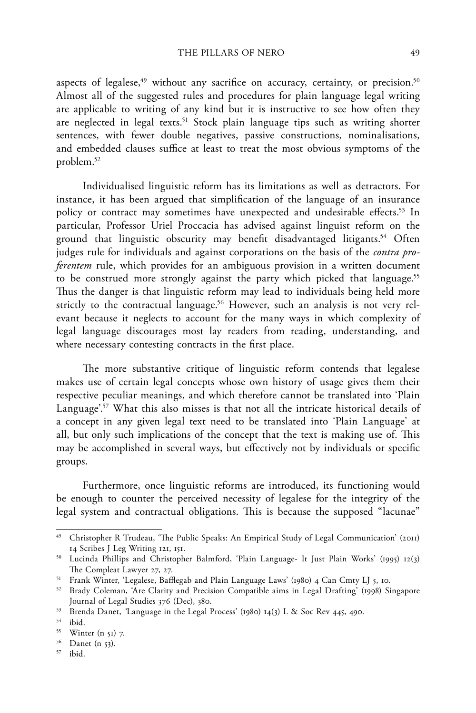aspects of legalese, $49$  without any sacrifice on accuracy, certainty, or precision. $50$ Almost all of the suggested rules and procedures for plain language legal writing are applicable to writing of any kind but it is instructive to see how often they are neglected in legal texts.51 Stock plain language tips such as writing shorter sentences, with fewer double negatives, passive constructions, nominalisations, and embedded clauses suffice at least to treat the most obvious symptoms of the problem.52

Individualised linguistic reform has its limitations as well as detractors. For instance, it has been argued that simplification of the language of an insurance policy or contract may sometimes have unexpected and undesirable effects.<sup>53</sup> In particular, Professor Uriel Proccacia has advised against linguist reform on the ground that linguistic obscurity may benefit disadvantaged litigants.<sup>54</sup> Often judges rule for individuals and against corporations on the basis of the *contra proferentem* rule, which provides for an ambiguous provision in a written document to be construed more strongly against the party which picked that language.<sup>55</sup> Thus the danger is that linguistic reform may lead to individuals being held more strictly to the contractual language.<sup>56</sup> However, such an analysis is not very relevant because it neglects to account for the many ways in which complexity of legal language discourages most lay readers from reading, understanding, and where necessary contesting contracts in the first place.

The more substantive critique of linguistic reform contends that legalese makes use of certain legal concepts whose own history of usage gives them their respective peculiar meanings, and which therefore cannot be translated into 'Plain Language'.<sup>57</sup> What this also misses is that not all the intricate historical details of a concept in any given legal text need to be translated into 'Plain Language' at all, but only such implications of the concept that the text is making use of. This may be accomplished in several ways, but effectively not by individuals or specific groups.

Furthermore, once linguistic reforms are introduced, its functioning would be enough to counter the perceived necessity of legalese for the integrity of the legal system and contractual obligations. This is because the supposed "lacunae"

<sup>49</sup> Christopher R Trudeau, 'The Public Speaks: An Empirical Study of Legal Communication' (2011) 14 Scribes J Leg Writing 121, 151.

<sup>50</sup> Lucinda Phillips and Christopher Balmford, 'Plain Language- It Just Plain Works' (1995) 12(3) The Compleat Lawyer 27, 27.

<sup>51</sup> Frank Winter, 'Legalese, Bafflegab and Plain Language Laws' (1980) 4 Can Cmty LJ 5, 10.

<sup>52</sup> Brady Coleman, 'Are Clarity and Precision Compatible aims in Legal Drafting' (1998) Singapore Journal of Legal Studies 376 (Dec), 380.

<sup>53</sup> Brenda Danet, *'*Language in the Legal Process' (1980) 14(3) L & Soc Rev 445, 490.

<sup>54</sup> ibid.

 $55$  Winter (n  $51$ ) 7.

<sup>56</sup> Danet (n 53).

<sup>57</sup> ibid.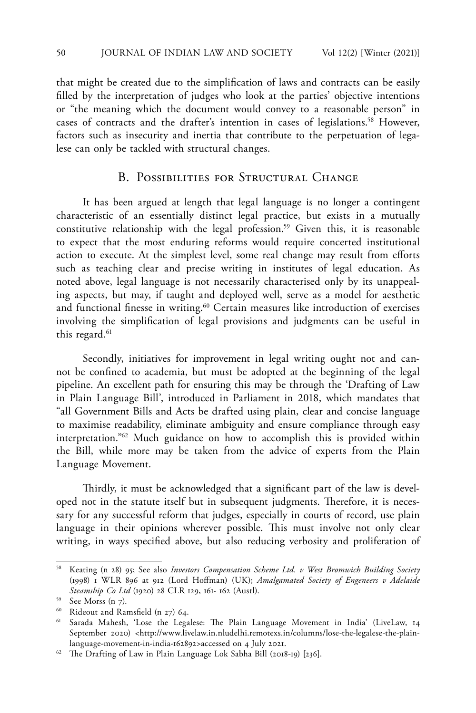that might be created due to the simplification of laws and contracts can be easily filled by the interpretation of judges who look at the parties' objective intentions or "the meaning which the document would convey to a reasonable person" in cases of contracts and the drafter's intention in cases of legislations.<sup>58</sup> However, factors such as insecurity and inertia that contribute to the perpetuation of legalese can only be tackled with structural changes.

## B. POSSIBILITIES FOR STRUCTURAL CHANGE

It has been argued at length that legal language is no longer a contingent characteristic of an essentially distinct legal practice, but exists in a mutually constitutive relationship with the legal profession.<sup>59</sup> Given this, it is reasonable to expect that the most enduring reforms would require concerted institutional action to execute. At the simplest level, some real change may result from efforts such as teaching clear and precise writing in institutes of legal education. As noted above, legal language is not necessarily characterised only by its unappealing aspects, but may, if taught and deployed well, serve as a model for aesthetic and functional finesse in writing.<sup>60</sup> Certain measures like introduction of exercises involving the simplification of legal provisions and judgments can be useful in this regard. $61$ 

Secondly, initiatives for improvement in legal writing ought not and cannot be confined to academia, but must be adopted at the beginning of the legal pipeline. An excellent path for ensuring this may be through the 'Drafting of Law in Plain Language Bill', introduced in Parliament in 2018, which mandates that "all Government Bills and Acts be drafted using plain, clear and concise language to maximise readability, eliminate ambiguity and ensure compliance through easy interpretation."62 Much guidance on how to accomplish this is provided within the Bill, while more may be taken from the advice of experts from the Plain Language Movement.

Thirdly, it must be acknowledged that a significant part of the law is developed not in the statute itself but in subsequent judgments. Therefore, it is necessary for any successful reform that judges, especially in courts of record, use plain language in their opinions wherever possible. This must involve not only clear writing, in ways specified above, but also reducing verbosity and proliferation of

<sup>58</sup> Keating (n 28) 95; See also *Investors Compensation Scheme Ltd. v West Bromwich Building Society* (1998) 1 WLR 896 at 912 (Lord Hoffman) (UK); *Amalgamated Society of Engeneers v Adelaide Steamship Co Ltd* (1920) 28 CLR 129, 161- 162 (Austl).

<sup>59</sup> See Morss (n 7).

<sup>60</sup> Rideout and Ramsfield (n 27) 64.

<sup>61</sup> Sarada Mahesh, 'Lose the Legalese: The Plain Language Movement in India' (LiveLaw, 14 September 2020) <http://www.livelaw.in.nludelhi.remotexs.in/columns/lose-the-legalese-the-plainlanguage-movement-in-india-162892>accessed on 4 July 2021.

<sup>62</sup> The Drafting of Law in Plain Language Lok Sabha Bill (2018-19) [236].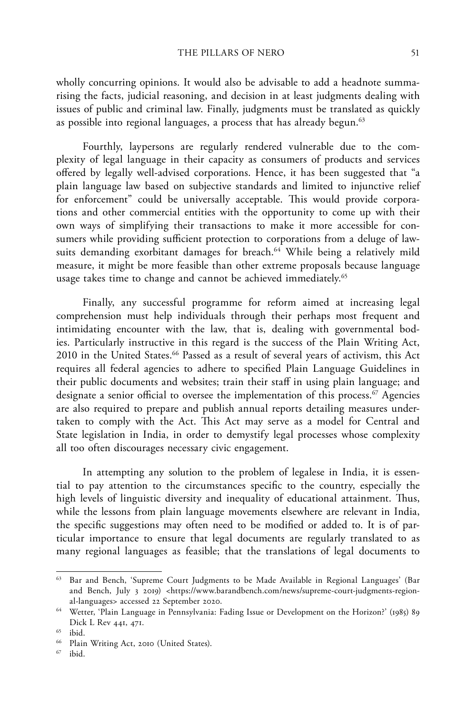wholly concurring opinions. It would also be advisable to add a headnote summarising the facts, judicial reasoning, and decision in at least judgments dealing with issues of public and criminal law. Finally, judgments must be translated as quickly as possible into regional languages, a process that has already begun.<sup>63</sup>

Fourthly, laypersons are regularly rendered vulnerable due to the complexity of legal language in their capacity as consumers of products and services offered by legally well-advised corporations. Hence, it has been suggested that "a plain language law based on subjective standards and limited to injunctive relief for enforcement" could be universally acceptable. This would provide corporations and other commercial entities with the opportunity to come up with their own ways of simplifying their transactions to make it more accessible for consumers while providing sufficient protection to corporations from a deluge of lawsuits demanding exorbitant damages for breach.<sup>64</sup> While being a relatively mild measure, it might be more feasible than other extreme proposals because language usage takes time to change and cannot be achieved immediately.<sup>65</sup>

Finally, any successful programme for reform aimed at increasing legal comprehension must help individuals through their perhaps most frequent and intimidating encounter with the law, that is, dealing with governmental bodies. Particularly instructive in this regard is the success of the Plain Writing Act, 2010 in the United States.<sup>66</sup> Passed as a result of several years of activism, this Act requires all federal agencies to adhere to specified Plain Language Guidelines in their public documents and websites; train their staff in using plain language; and designate a senior official to oversee the implementation of this process.<sup>67</sup> Agencies are also required to prepare and publish annual reports detailing measures undertaken to comply with the Act. This Act may serve as a model for Central and State legislation in India, in order to demystify legal processes whose complexity all too often discourages necessary civic engagement.

In attempting any solution to the problem of legalese in India, it is essential to pay attention to the circumstances specific to the country, especially the high levels of linguistic diversity and inequality of educational attainment. Thus, while the lessons from plain language movements elsewhere are relevant in India, the specific suggestions may often need to be modified or added to. It is of particular importance to ensure that legal documents are regularly translated to as many regional languages as feasible; that the translations of legal documents to

<sup>63</sup> Bar and Bench, 'Supreme Court Judgments to be Made Available in Regional Languages' (Bar and Bench, July 3 2019) <https://www.barandbench.com/news/supreme-court-judgments-regional-languages> accessed 22 September 2020.

<sup>64</sup> Wetter, 'Plain Language in Pennsylvania: Fading Issue or Development on the Horizon?' (1985) 89 Dick L Rev 441, 471.

<sup>65</sup> ibid.

 $^{66}$  Plain Writing Act, 2010 (United States).

ibid.